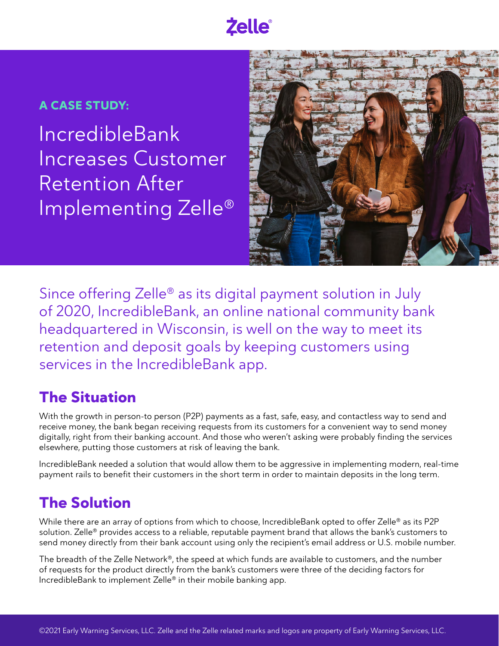# **Zelle**

## **A CASE STUDY:**

IncredibleBank Increases Customer Retention After Implementing Zelle®



Since offering Zelle® as its digital payment solution in July of 2020, IncredibleBank, an online national community bank headquartered in Wisconsin, is well on the way to meet its retention and deposit goals by keeping customers using services in the IncredibleBank app.

# **The Situation**

With the growth in person-to person (P2P) payments as a fast, safe, easy, and contactless way to send and receive money, the bank began receiving requests from its customers for a convenient way to send money digitally, right from their banking account. And those who weren't asking were probably finding the services elsewhere, putting those customers at risk of leaving the bank.

IncredibleBank needed a solution that would allow them to be aggressive in implementing modern, real-time payment rails to benefit their customers in the short term in order to maintain deposits in the long term.

# **The Solution**

While there are an array of options from which to choose, IncredibleBank opted to offer Zelle<sup>®</sup> as its P2P solution. Zelle® provides access to a reliable, reputable payment brand that allows the bank's customers to send money directly from their bank account using only the recipient's email address or U.S. mobile number.

The breadth of the Zelle Network®, the speed at which funds are available to customers, and the number of requests for the product directly from the bank's customers were three of the deciding factors for IncredibleBank to implement Zelle® in their mobile banking app.